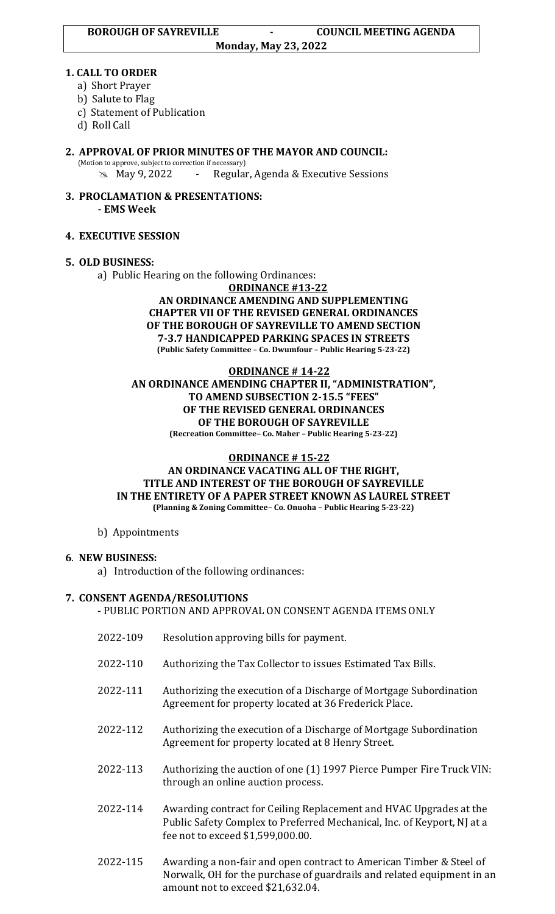#### **Monday, May 23, 2022**

### **1. CALL TO ORDER**

- a) Short Prayer
- b) Salute to Flag
- c) Statement of Publication
- d) Roll Call
- **2. APPROVAL OF PRIOR MINUTES OF THE MAYOR AND COUNCIL:**  (Motion to approve, subject to correction if necessary)

May 9, 2022 - Regular, Agenda & Executive Sessions

**3. PROCLAMATION & PRESENTATIONS: - EMS Week**

# **4. EXECUTIVE SESSION**

### **5. OLD BUSINESS:**

a) Public Hearing on the following Ordinances:

#### **ORDINANCE #13-22 AN ORDINANCE AMENDING AND SUPPLEMENTING CHAPTER VII OF THE REVISED GENERAL ORDINANCES OF THE BOROUGH OF SAYREVILLE TO AMEND SECTION 7-3.7 HANDICAPPED PARKING SPACES IN STREETS (Public Safety Committee – Co. Dwumfour – Public Hearing 5-23-22)**

#### **ORDINANCE # 14-22 AN ORDINANCE AMENDING CHAPTER II, "ADMINISTRATION", TO AMEND SUBSECTION 2-15.5 "FEES" OF THE REVISED GENERAL ORDINANCES OF THE BOROUGH OF SAYREVILLE (Recreation Committee– Co. Maher – Public Hearing 5-23-22)**

# **ORDINANCE # 15-22**

### **AN ORDINANCE VACATING ALL OF THE RIGHT, TITLE AND INTEREST OF THE BOROUGH OF SAYREVILLE IN THE ENTIRETY OF A PAPER STREET KNOWN AS LAUREL STREET (Planning & Zoning Committee– Co. Onuoha – Public Hearing 5-23-22)**

### b) Appointments

# **6**. **NEW BUSINESS:**

a) Introduction of the following ordinances:

# **7. CONSENT AGENDA/RESOLUTIONS**

```
- PUBLIC PORTION AND APPROVAL ON CONSENT AGENDA ITEMS ONLY
```
- 2022-109 Resolution approving bills for payment.
- 2022-110 Authorizing the Tax Collector to issues Estimated Tax Bills.
- 2022-111 Authorizing the execution of a Discharge of Mortgage Subordination Agreement for property located at 36 Frederick Place.
- 2022-112 Authorizing the execution of a Discharge of Mortgage Subordination Agreement for property located at 8 Henry Street.
- 2022-113 Authorizing the auction of one (1) 1997 Pierce Pumper Fire Truck VIN: through an online auction process.
- 2022-114 Awarding contract for Ceiling Replacement and HVAC Upgrades at the Public Safety Complex to Preferred Mechanical, Inc. of Keyport, NJ at a fee not to exceed \$1,599,000.00.
- 2022-115 Awarding a non-fair and open contract to American Timber & Steel of Norwalk, OH for the purchase of guardrails and related equipment in an amount not to exceed \$21,632.04.